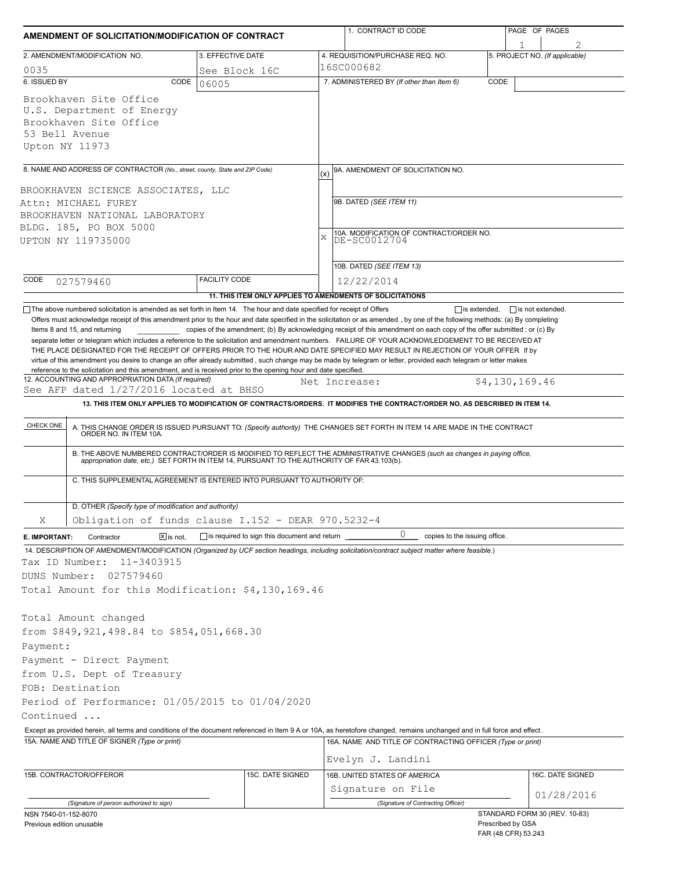| AMENDMENT OF SOLICITATION/MODIFICATION OF CONTRACT                                                                                                                                                                             |               |                                                           |     | 1. CONTRACT ID CODE                                                                                                                                                                                                                                                                              |      | PAGE OF PAGES                            |                                |
|--------------------------------------------------------------------------------------------------------------------------------------------------------------------------------------------------------------------------------|---------------|-----------------------------------------------------------|-----|--------------------------------------------------------------------------------------------------------------------------------------------------------------------------------------------------------------------------------------------------------------------------------------------------|------|------------------------------------------|--------------------------------|
| 3. EFFECTIVE DATE<br>2. AMENDMENT/MODIFICATION NO.                                                                                                                                                                             |               |                                                           |     | 4. REQUISITION/PURCHASE REQ. NO.                                                                                                                                                                                                                                                                 |      |                                          | 5. PROJECT NO. (If applicable) |
| 16SC000682<br>0035<br>See Block 16C                                                                                                                                                                                            |               |                                                           |     |                                                                                                                                                                                                                                                                                                  |      |                                          |                                |
| 6. ISSUED BY                                                                                                                                                                                                                   | CODE<br>06005 |                                                           |     | 7. ADMINISTERED BY (If other than Item 6)                                                                                                                                                                                                                                                        | CODE |                                          |                                |
| Brookhaven Site Office<br>U.S. Department of Energy<br>Brookhaven Site Office<br>53 Bell Avenue<br>Upton NY 11973                                                                                                              |               |                                                           |     |                                                                                                                                                                                                                                                                                                  |      |                                          |                                |
| 8. NAME AND ADDRESS OF CONTRACTOR (No., street, county, State and ZIP Code)                                                                                                                                                    |               |                                                           | (x) | 9A. AMENDMENT OF SOLICITATION NO.                                                                                                                                                                                                                                                                |      |                                          |                                |
| BROOKHAVEN SCIENCE ASSOCIATES, LLC<br>Attn: MICHAEL FUREY<br>BROOKHAVEN NATIONAL LABORATORY<br>BLDG. 185, PO BOX 5000<br>UPTON NY 119735000                                                                                    |               |                                                           | X   | 9B. DATED (SEE ITEM 11)<br>10A. MODIFICATION OF CONTRACT/ORDER NO.<br>DE-SC0012704<br>10B. DATED (SEE ITEM 13)                                                                                                                                                                                   |      |                                          |                                |
| CODE                                                                                                                                                                                                                           |               | <b>FACILITY CODE</b>                                      |     | 12/22/2014                                                                                                                                                                                                                                                                                       |      |                                          |                                |
| 027579460                                                                                                                                                                                                                      |               | 11. THIS ITEM ONLY APPLIES TO AMENDMENTS OF SOLICITATIONS |     |                                                                                                                                                                                                                                                                                                  |      |                                          |                                |
| reference to the solicitation and this amendment, and is received prior to the opening hour and date specified.<br>12. ACCOUNTING AND APPROPRIATION DATA (If required)<br>See AFP dated 1/27/2016 located at BHSO<br>CHECK ONE |               |                                                           |     | Net Increase:<br>13. THIS ITEM ONLY APPLIES TO MODIFICATION OF CONTRACTS/ORDERS. IT MODIFIES THE CONTRACT/ORDER NO. AS DESCRIBED IN ITEM 14.<br>A. THIS CHANGE ORDER IS ISSUED PURSUANT TO: (Specify authority) THE CHANGES SET FORTH IN ITEM 14 ARE MADE IN THE CONTRACT ORDER NO. IN ITEM 10A. |      | \$4,130,169.46                           |                                |
| C. THIS SUPPLEMENTAL AGREEMENT IS ENTERED INTO PURSUANT TO AUTHORITY OF:                                                                                                                                                       |               |                                                           |     | B. THE ABOVE NUMBERED CONTRACT/ORDER IS MODIFIED TO REFLECT THE ADMINISTRATIVE CHANGES (such as changes in paying office, appropriation date, etc.) SET FORTH IN ITEM 14, PURSUANT TO THE AUTHORITY OF FAR 43.103(b).                                                                            |      |                                          |                                |
| D. OTHER (Specify type of modification and authority)                                                                                                                                                                          |               |                                                           |     |                                                                                                                                                                                                                                                                                                  |      |                                          |                                |
| Obligation of funds clause I.152 - DEAR 970.5232-4<br>Χ                                                                                                                                                                        |               |                                                           |     |                                                                                                                                                                                                                                                                                                  |      |                                          |                                |
| Contractor<br>E. IMPORTANT:                                                                                                                                                                                                    | $X$ is not.   | is required to sign this document and return              |     | 0<br>copies to the issuing office.                                                                                                                                                                                                                                                               |      |                                          |                                |
| Tax ID Number:<br>11-3403915<br>DUNS Number:<br>027579460<br>Total Amount for this Modification: \$4,130,169.46                                                                                                                |               |                                                           |     | 14. DESCRIPTION OF AMENDMENT/MODIFICATION (Organized by UCF section headings, including solicitation/contract subject matter where feasible.)                                                                                                                                                    |      |                                          |                                |
| Total Amount changed<br>from \$849,921,498.84 to \$854,051,668.30<br>Payment:                                                                                                                                                  |               |                                                           |     |                                                                                                                                                                                                                                                                                                  |      |                                          |                                |
| Payment - Direct Payment<br>from U.S. Dept of Treasury                                                                                                                                                                         |               |                                                           |     |                                                                                                                                                                                                                                                                                                  |      |                                          |                                |
| FOB: Destination                                                                                                                                                                                                               |               |                                                           |     |                                                                                                                                                                                                                                                                                                  |      |                                          |                                |
| Period of Performance: 01/05/2015 to 01/04/2020                                                                                                                                                                                |               |                                                           |     |                                                                                                                                                                                                                                                                                                  |      |                                          |                                |
| Continued                                                                                                                                                                                                                      |               |                                                           |     |                                                                                                                                                                                                                                                                                                  |      |                                          |                                |
| 15A. NAME AND TITLE OF SIGNER (Type or print)                                                                                                                                                                                  |               |                                                           |     | Except as provided herein, all terms and conditions of the document referenced in Item 9 A or 10A, as heretofore changed, remains unchanged and in full force and effect.<br>16A. NAME AND TITLE OF CONTRACTING OFFICER (Type or print)                                                          |      |                                          |                                |
|                                                                                                                                                                                                                                |               |                                                           |     | Evelyn J. Landini                                                                                                                                                                                                                                                                                |      |                                          |                                |
| 15B. CONTRACTOR/OFFEROR                                                                                                                                                                                                        |               | 15C. DATE SIGNED                                          |     | 16B. UNITED STATES OF AMERICA                                                                                                                                                                                                                                                                    |      |                                          | 16C. DATE SIGNED               |
|                                                                                                                                                                                                                                |               |                                                           |     | Signature on File<br>(Signature of Contracting Officer)                                                                                                                                                                                                                                          |      |                                          | 01/28/2016                     |
| (Signature of person authorized to sign)<br>NSN 7540-01-152-8070<br>Previous edition unusable                                                                                                                                  |               |                                                           |     |                                                                                                                                                                                                                                                                                                  |      | Prescribed by GSA<br>FAR (48 CFR) 53.243 | STANDARD FORM 30 (REV. 10-83)  |